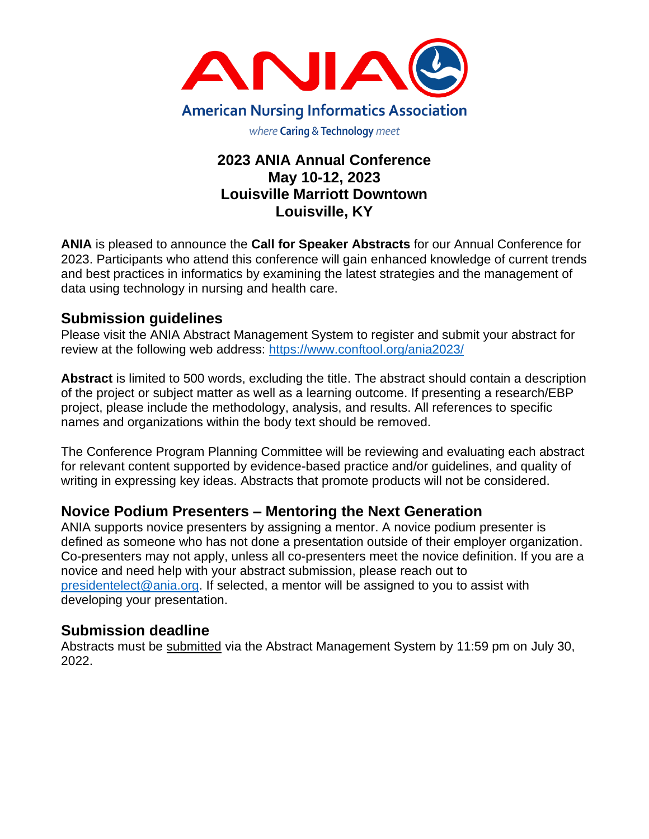

# **2023 ANIA Annual Conference May 10-12, 2023 Louisville Marriott Downtown Louisville, KY**

**ANIA** is pleased to announce the **Call for Speaker Abstracts** for our Annual Conference for 2023. Participants who attend this conference will gain enhanced knowledge of current trends and best practices in informatics by examining the latest strategies and the management of data using technology in nursing and health care.

## **Submission guidelines**

Please visit the ANIA Abstract Management System to register and submit your abstract for review at the following web address: <https://www.conftool.org/ania2023/>

**Abstract** is limited to 500 words, excluding the title. The abstract should contain a description of the project or subject matter as well as a learning outcome. If presenting a research/EBP project, please include the methodology, analysis, and results. All references to specific names and organizations within the body text should be removed.

The Conference Program Planning Committee will be reviewing and evaluating each abstract for relevant content supported by evidence-based practice and/or guidelines, and quality of writing in expressing key ideas. Abstracts that promote products will not be considered.

# **Novice Podium Presenters – Mentoring the Next Generation**

ANIA supports novice presenters by assigning a mentor. A novice podium presenter is defined as someone who has not done a presentation outside of their employer organization. Co-presenters may not apply, unless all co-presenters meet the novice definition. If you are a novice and need help with your abstract submission, please reach out to [presidentelect@ania.org.](mailto:presidentelect@ania.org) If selected, a mentor will be assigned to you to assist with developing your presentation.

## **Submission deadline**

Abstracts must be submitted via the Abstract Management System by 11:59 pm on July 30, 2022.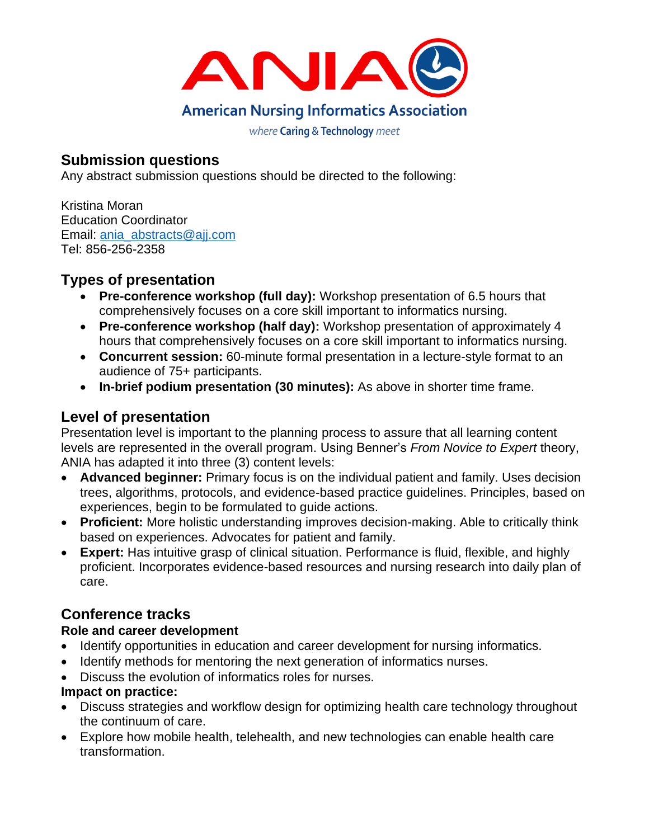

## **Submission questions**

Any abstract submission questions should be directed to the following:

Kristina Moran Education Coordinator Email: ania\_abstracts@aij.com Tel: 856-256-2358

# **Types of presentation**

- **Pre-conference workshop (full day):** Workshop presentation of 6.5 hours that comprehensively focuses on a core skill important to informatics nursing.
- **Pre-conference workshop (half day):** Workshop presentation of approximately 4 hours that comprehensively focuses on a core skill important to informatics nursing.
- **Concurrent session:** 60-minute formal presentation in a lecture-style format to an audience of 75+ participants.
- **In-brief podium presentation (30 minutes):** As above in shorter time frame.

# **Level of presentation**

Presentation level is important to the planning process to assure that all learning content levels are represented in the overall program. Using Benner's *From Novice to Expert* theory, ANIA has adapted it into three (3) content levels:

- **Advanced beginner:** Primary focus is on the individual patient and family. Uses decision trees, algorithms, protocols, and evidence-based practice guidelines. Principles, based on experiences, begin to be formulated to guide actions.
- **Proficient:** More holistic understanding improves decision-making. Able to critically think based on experiences. Advocates for patient and family.
- **Expert:** Has intuitive grasp of clinical situation. Performance is fluid, flexible, and highly proficient. Incorporates evidence-based resources and nursing research into daily plan of care.

# **Conference tracks**

## **Role and career development**

- Identify opportunities in education and career development for nursing informatics.
- Identify methods for mentoring the next generation of informatics nurses.
- Discuss the evolution of informatics roles for nurses.

## **Impact on practice:**

- Discuss strategies and workflow design for optimizing health care technology throughout the continuum of care.
- Explore how mobile health, telehealth, and new technologies can enable health care transformation.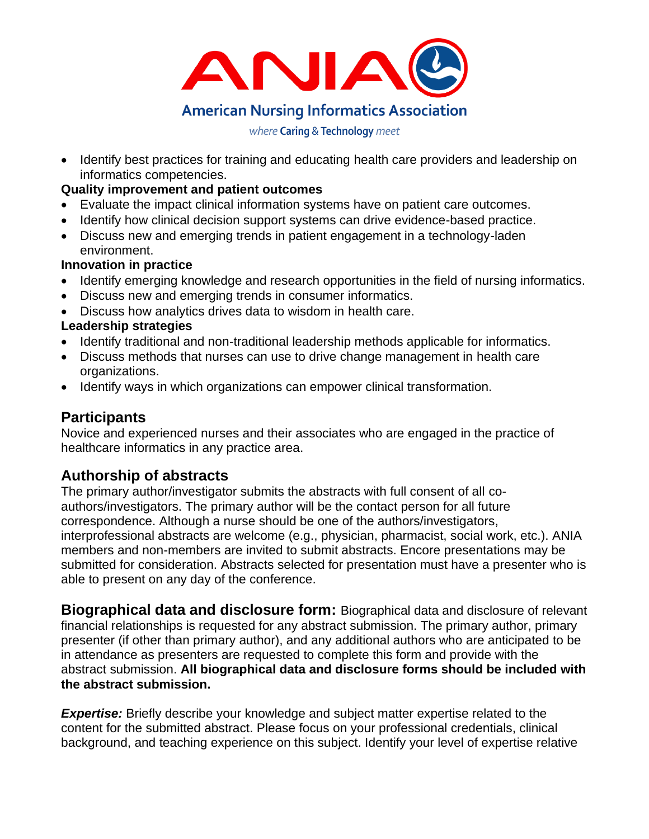

• Identify best practices for training and educating health care providers and leadership on informatics competencies.

### **Quality improvement and patient outcomes**

- Evaluate the impact clinical information systems have on patient care outcomes.
- Identify how clinical decision support systems can drive evidence-based practice.
- Discuss new and emerging trends in patient engagement in a technology-laden environment.

### **Innovation in practice**

- Identify emerging knowledge and research opportunities in the field of nursing informatics.
- Discuss new and emerging trends in consumer informatics.
- Discuss how analytics drives data to wisdom in health care.

### **Leadership strategies**

- Identify traditional and non-traditional leadership methods applicable for informatics.
- Discuss methods that nurses can use to drive change management in health care organizations.
- Identify ways in which organizations can empower clinical transformation.

## **Participants**

Novice and experienced nurses and their associates who are engaged in the practice of healthcare informatics in any practice area.

## **Authorship of abstracts**

The primary author/investigator submits the abstracts with full consent of all coauthors/investigators. The primary author will be the contact person for all future correspondence. Although a nurse should be one of the authors/investigators, interprofessional abstracts are welcome (e.g., physician, pharmacist, social work, etc.). ANIA members and non-members are invited to submit abstracts. Encore presentations may be submitted for consideration. Abstracts selected for presentation must have a presenter who is able to present on any day of the conference.

**Biographical data and disclosure form:** Biographical data and disclosure of relevant financial relationships is requested for any abstract submission. The primary author, primary presenter (if other than primary author), and any additional authors who are anticipated to be in attendance as presenters are requested to complete this form and provide with the abstract submission. **All biographical data and disclosure forms should be included with the abstract submission.** 

**Expertise:** Briefly describe your knowledge and subject matter expertise related to the content for the submitted abstract. Please focus on your professional credentials, clinical background, and teaching experience on this subject. Identify your level of expertise relative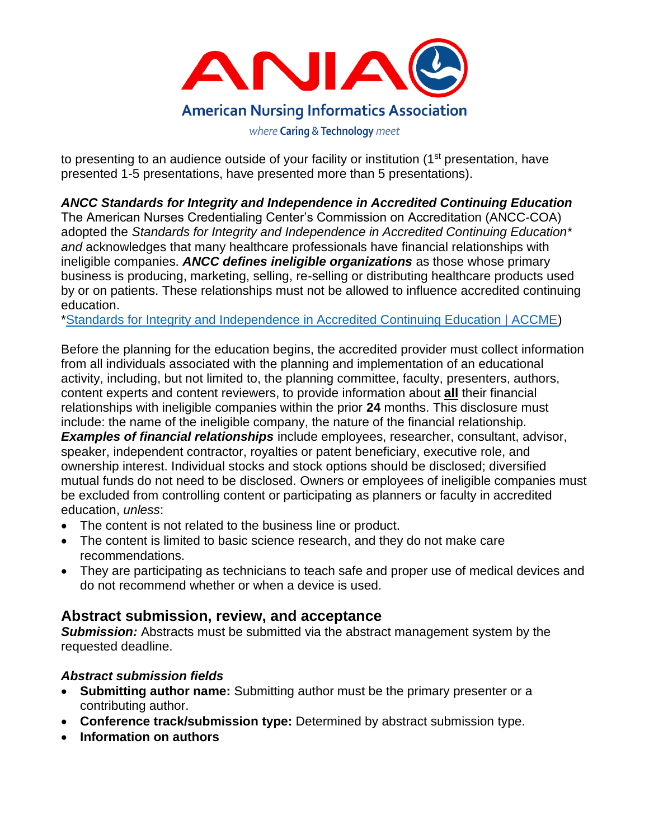

to presenting to an audience outside of your facility or institution (1<sup>st</sup> presentation, have presented 1-5 presentations, have presented more than 5 presentations).

*ANCC Standards for Integrity and Independence in Accredited Continuing Education*

The American Nurses Credentialing Center's Commission on Accreditation (ANCC-COA) adopted the *Standards for Integrity and Independence in Accredited Continuing Education\* and* acknowledges that many healthcare professionals have financial relationships with ineligible companies. *ANCC defines ineligible organizations* as those whose primary business is producing, marketing, selling, re-selling or distributing healthcare products used by or on patients. These relationships must not be allowed to influence accredited continuing education.

[\\*Standards for Integrity and Independence in Accredited Continuing Education | ACCME\)](https://accme.org/accreditation-rules/standards-for-integrity-independence-accredited-ce)

Before the planning for the education begins, the accredited provider must collect information from all individuals associated with the planning and implementation of an educational activity, including, but not limited to, the planning committee, faculty, presenters, authors, content experts and content reviewers, to provide information about **all** their financial relationships with ineligible companies within the prior **24** months. This disclosure must include: the name of the ineligible company, the nature of the financial relationship. *Examples of financial relationships* include employees, researcher, consultant, advisor, speaker, independent contractor, royalties or patent beneficiary, executive role, and ownership interest. Individual stocks and stock options should be disclosed; diversified mutual funds do not need to be disclosed. Owners or employees of ineligible companies must be excluded from controlling content or participating as planners or faculty in accredited education, *unless*:

- The content is not related to the business line or product.
- The content is limited to basic science research, and they do not make care recommendations.
- They are participating as technicians to teach safe and proper use of medical devices and do not recommend whether or when a device is used.

## **Abstract submission, review, and acceptance**

**Submission:** Abstracts must be submitted via the abstract management system by the requested deadline.

## *Abstract submission fields*

- **Submitting author name:** Submitting author must be the primary presenter or a contributing author.
- **Conference track/submission type:** Determined by abstract submission type.
- **Information on authors**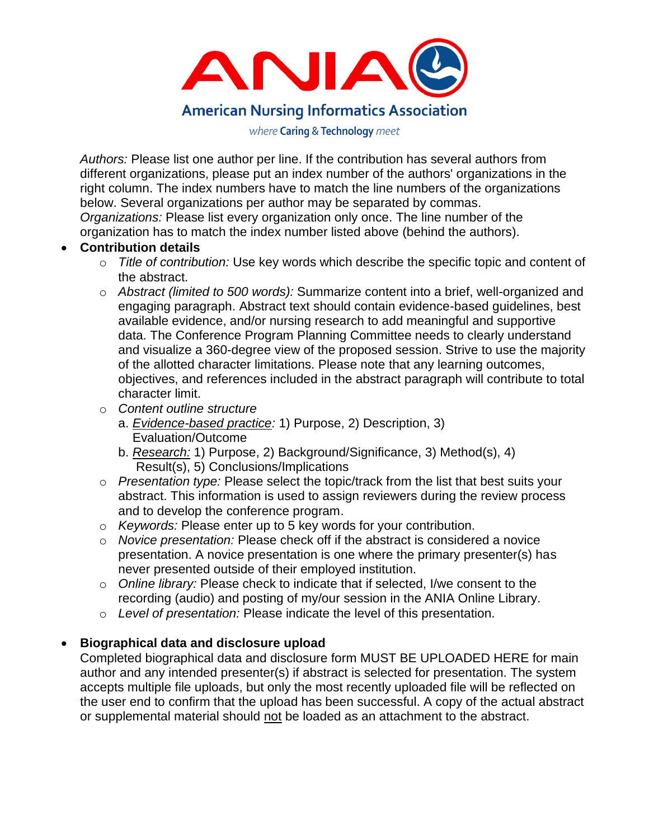

*Authors:* Please list one author per line. If the contribution has several authors from different organizations, please put an index number of the authors' organizations in the right column. The index numbers have to match the line numbers of the organizations below. Several organizations per author may be separated by commas. *Organizations:* Please list every organization only once. The line number of the

organization has to match the index number listed above (behind the authors).

#### • **Contribution details**

- o *Title of contribution:* Use key words which describe the specific topic and content of the abstract.
- o *Abstract (limited to 500 words):* Summarize content into a brief, well-organized and engaging paragraph. Abstract text should contain evidence-based guidelines, best available evidence, and/or nursing research to add meaningful and supportive data. The Conference Program Planning Committee needs to clearly understand and visualize a 360-degree view of the proposed session. Strive to use the majority of the allotted character limitations. Please note that any learning outcomes, objectives, and references included in the abstract paragraph will contribute to total character limit.
- o *Content outline structure*
	- a. *Evidence-based practice:* 1) Purpose, 2) Description, 3) Evaluation/Outcome
	- b. *Research:* 1) Purpose, 2) Background/Significance, 3) Method(s), 4) Result(s), 5) Conclusions/Implications
- o *Presentation type:* Please select the topic/track from the list that best suits your abstract. This information is used to assign reviewers during the review process and to develop the conference program.
- o *Keywords:* Please enter up to 5 key words for your contribution.
- o *Novice presentation:* Please check off if the abstract is considered a novice presentation. A novice presentation is one where the primary presenter(s) has never presented outside of their employed institution.
- o *Online library:* Please check to indicate that if selected, I/we consent to the recording (audio) and posting of my/our session in the ANIA Online Library.
- o *Level of presentation:* Please indicate the level of this presentation.

#### • **Biographical data and disclosure upload**

Completed biographical data and disclosure form MUST BE UPLOADED HERE for main author and any intended presenter(s) if abstract is selected for presentation. The system accepts multiple file uploads, but only the most recently uploaded file will be reflected on the user end to confirm that the upload has been successful. A copy of the actual abstract or supplemental material should not be loaded as an attachment to the abstract.